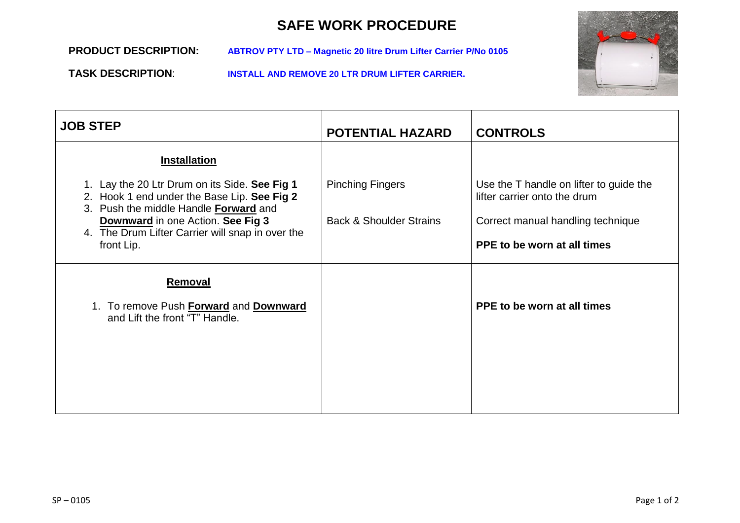## **SAFE WORK PROCEDURE**

**PRODUCT DESCRIPTION: ABTROV PTY LTD – Magnetic 20 litre Drum Lifter Carrier P/No 0105**

**TASK DESCRIPTION**: **INSTALL AND REMOVE 20 LTR DRUM LIFTER CARRIER.**



| <b>JOB STEP</b>                                                                                                                                                                                                                                     | <b>POTENTIAL HAZARD</b>                                       | <b>CONTROLS</b>                                                                                                                             |
|-----------------------------------------------------------------------------------------------------------------------------------------------------------------------------------------------------------------------------------------------------|---------------------------------------------------------------|---------------------------------------------------------------------------------------------------------------------------------------------|
| <b>Installation</b>                                                                                                                                                                                                                                 |                                                               |                                                                                                                                             |
| 1. Lay the 20 Ltr Drum on its Side. See Fig 1<br>2. Hook 1 end under the Base Lip. See Fig 2<br>3. Push the middle Handle Forward and<br><b>Downward</b> in one Action. See Fig 3<br>4. The Drum Lifter Carrier will snap in over the<br>front Lip. | <b>Pinching Fingers</b><br><b>Back &amp; Shoulder Strains</b> | Use the T handle on lifter to guide the<br>lifter carrier onto the drum<br>Correct manual handling technique<br>PPE to be worn at all times |
| <b>Removal</b><br>1. To remove Push Forward and Downward<br>and Lift the front "T" Handle.                                                                                                                                                          |                                                               | PPE to be worn at all times                                                                                                                 |